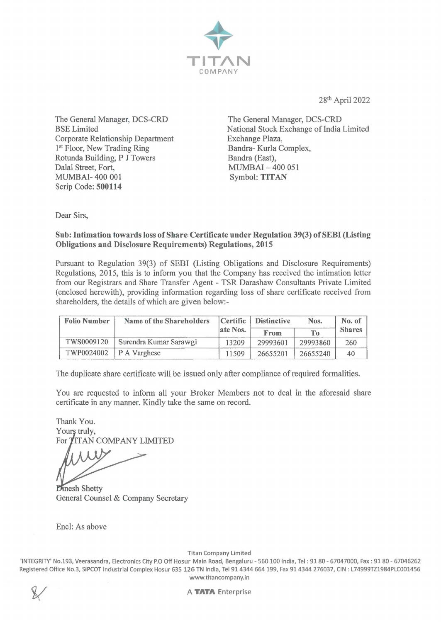

28th April 2022

The General Manager, DCS-CRD BSE Limited Corporate Relationship Department 1<sup>st</sup> Floor, New Trading Ring Rotunda Building, P J Towers Dalal Street, Fort, MUMBAI-400 001 Scrip Code: **500114** 

The General Manager, DCS-CRD National Stock Exchange of India Limited Exchange Plaza, Bandra- Kurla Complex, Bandra (East), MUMBAI - 400 051 Symbol: **TITAN** 

Dear Sirs,

### **Sub: Intimation towards loss of Share Certificate under Regulation 39(3) of SEBI (Listing Obligations and Disclosure Requirements) Regulations, 2015**

Pursuant to Regulation 39(3) of SEBI (Listing Obligations and Disclosure Requirements) Regulations, 2015, this is to inform you that the Company has received the intimation letter from our Registrars and Share Transfer Agent - TSR Darashaw Consultants Private Limited (enclosed herewith), providing information regarding loss of share certificate received from shareholders, the details of which are given below:-

| <b>Folio Number</b> | <b>Name of the Shareholders</b> | Certific | <b>Distinctive</b> | Nos.     | No. of        |
|---------------------|---------------------------------|----------|--------------------|----------|---------------|
|                     |                                 | ate Nos. | From               | To       | <b>Shares</b> |
| TWS0009120          | Surendra Kumar Sarawgi          | 13209    | 29993601           | 29993860 | 260           |
|                     | TWP0024002 P A Varghese         | 11509    | 26655201           | 26655240 | 40            |

The duplicate share certificate will be issued only after compliance of required formalities.

You are requested to inform all your Broker Members not to deal in the aforesaid share certificate in any manner. Kindly take the same on record.

Thank You. Yours truly, For TITAN COMPANY LIMITED

**Dinesh Shetty** General Counsel & Company Secretary

Encl: As above

Titan Company Limited

'INTEGRITY' No.193, Veerasandra, Electronics City P.O Off Hosur Main Road, Bengaluru - 560 100 India, Tel : 9180 - 67047000, Fax: 9180 - 67046262 Registered Office No.3, SIPCOT Industrial Complex Hosur 635 126 TN India, Tel 914344 664 199, Fax 914344 276037, CIN : L74999TZ1984PLC001456 www.titancompany.in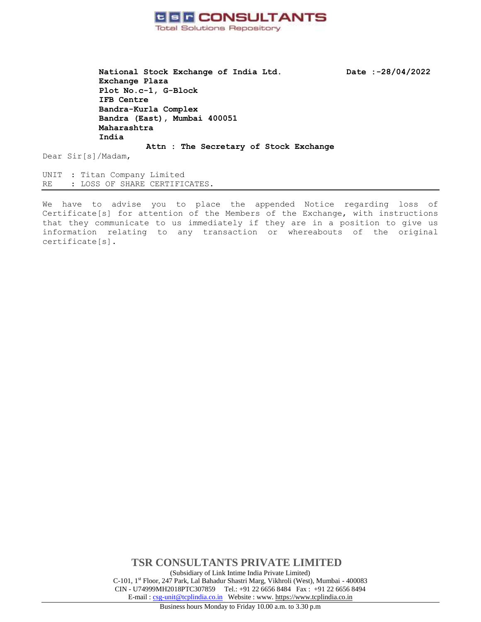

**National Stock Exchange of India Ltd. Date :-28/04/2022 Exchange Plaza Plot No.c-1, G-Block IFB Centre Bandra-Kurla Complex Bandra (East), Mumbai 400051 Maharashtra India**

**Attn : The Secretary of Stock Exchange**

Dear Sir[s]/Madam,

UNIT : Titan Company Limited RE : LOSS OF SHARE CERTIFICATES.

We have to advise you to place the appended Notice regarding loss of Certificate[s] for attention of the Members of the Exchange, with instructions that they communicate to us immediately if they are in a position to give us information relating to any transaction or whereabouts of the original certificate[s].

> **TSR CONSULTANTS PRIVATE LIMITED** (Subsidiary of Link Intime India Private Limited) C-101, 1st Floor, 247 Park, Lal Bahadur Shastri Marg, Vikhroli (West), Mumbai - 400083 CIN - U74999MH2018PTC307859Tel.: +91 22 6656 8484 Fax : +91 22 6656 8494 E-mail [: csg-unit@tcplindia.co.in](mailto:csg-unit@tcplindia.co.in) Website : www. [https://www.tcplindia.co.in](http://www.tsrdarashaw.com/)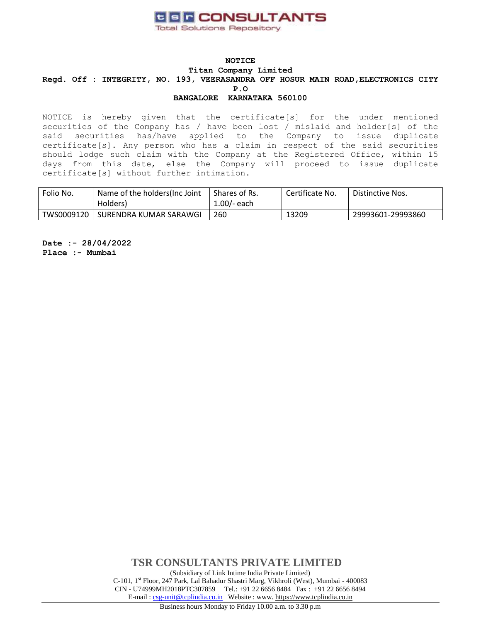

NOTICE is hereby given that the certificate[s] for the under mentioned securities of the Company has / have been lost / mislaid and holder[s] of the said securities has/have applied to the Company to issue duplicate certificate[s]. Any person who has a claim in respect of the said securities should lodge such claim with the Company at the Registered Office, within 15 days from this date, else the Company will proceed to issue duplicate certificate[s] without further intimation.

| Folio No.  | Name of the holders (Inc Joint<br>Holders) | Shares of Rs.<br>$1.00/-$ each | Certificate No. | Distinctive Nos.  |
|------------|--------------------------------------------|--------------------------------|-----------------|-------------------|
| TWS0009120 | SURENDRA KUMAR SARAWGI                     | 260                            | 13209           | 29993601-29993860 |

**Date :- 28/04/2022 Place :- Mumbai**

> **TSR CONSULTANTS PRIVATE LIMITED** (Subsidiary of Link Intime India Private Limited) C-101, 1st Floor, 247 Park, Lal Bahadur Shastri Marg, Vikhroli (West), Mumbai - 400083 CIN - U74999MH2018PTC307859Tel.: +91 22 6656 8484 Fax : +91 22 6656 8494 E-mail [: csg-unit@tcplindia.co.in](mailto:csg-unit@tcplindia.co.in) Website : www. [https://www.tcplindia.co.in](http://www.tsrdarashaw.com/)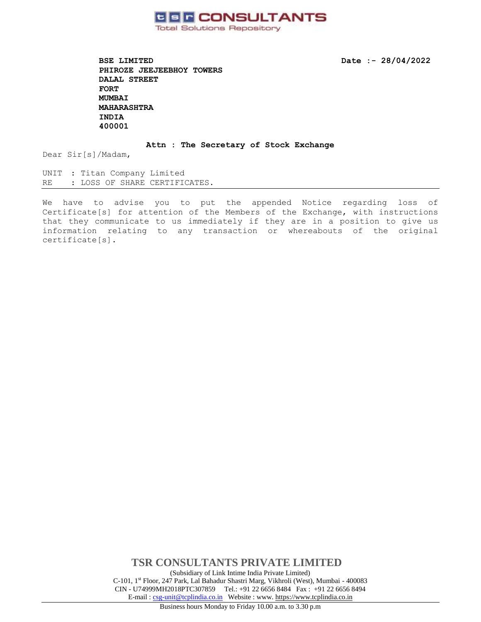

**BSE LIMITED** Date :- 28/04/2022 **PHIROZE JEEJEEBHOY TOWERS DALAL STREET FORT MUMBAI MAHARASHTRA INDIA 400001** 

**Attn : The Secretary of Stock Exchange**

Dear Sir[s]/Madam,

UNIT : Titan Company Limited RE : LOSS OF SHARE CERTIFICATES.

We have to advise you to put the appended Notice regarding loss of Certificate[s] for attention of the Members of the Exchange, with instructions that they communicate to us immediately if they are in a position to give us information relating to any transaction or whereabouts of the original certificate[s].

> **TSR CONSULTANTS PRIVATE LIMITED** (Subsidiary of Link Intime India Private Limited) C-101, 1st Floor, 247 Park, Lal Bahadur Shastri Marg, Vikhroli (West), Mumbai - 400083 CIN - U74999MH2018PTC307859Tel.: +91 22 6656 8484 Fax : +91 22 6656 8494 E-mail [: csg-unit@tcplindia.co.in](mailto:csg-unit@tcplindia.co.in) Website : www. [https://www.tcplindia.co.in](http://www.tsrdarashaw.com/)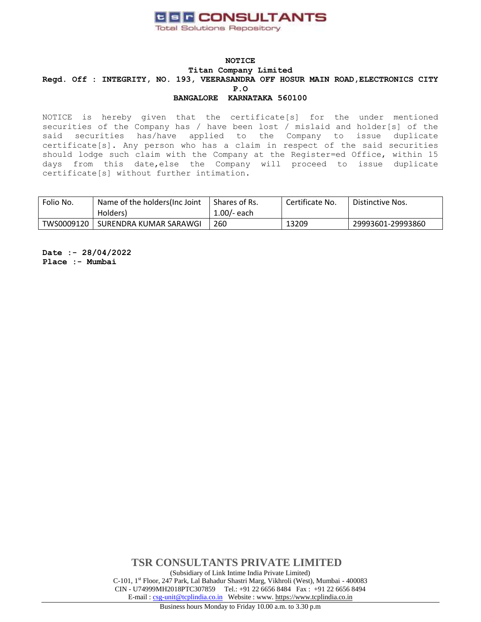

NOTICE is hereby given that the certificate[s] for the under mentioned securities of the Company has / have been lost / mislaid and holder[s] of the said securities has/have applied to the Company to issue duplicate certificate[s]. Any person who has a claim in respect of the said securities should lodge such claim with the Company at the Register=ed Office, within 15 days from this date,else the Company will proceed to issue duplicate certificate[s] without further intimation.

| Folio No.  | Name of the holders (Inc Joint<br>Holders) | Shares of Rs.<br>$1.00/-$ each | Certificate No. | Distinctive Nos.  |
|------------|--------------------------------------------|--------------------------------|-----------------|-------------------|
| TWS0009120 | SURENDRA KUMAR SARAWGI                     | 260                            | 13209           | 29993601-29993860 |

**Date :- 28/04/2022 Place :- Mumbai**

> **TSR CONSULTANTS PRIVATE LIMITED** (Subsidiary of Link Intime India Private Limited) C-101, 1st Floor, 247 Park, Lal Bahadur Shastri Marg, Vikhroli (West), Mumbai - 400083 CIN - U74999MH2018PTC307859Tel.: +91 22 6656 8484 Fax : +91 22 6656 8494 E-mail [: csg-unit@tcplindia.co.in](mailto:csg-unit@tcplindia.co.in) Website : www. [https://www.tcplindia.co.in](http://www.tsrdarashaw.com/)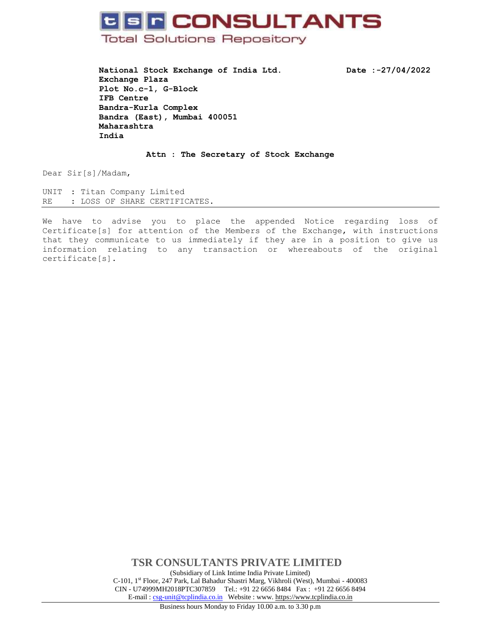## **UBR CONSULTANTS Total Solutions Repository**

**National Stock Exchange of India Ltd. Date :-27/04/2022 Exchange Plaza Plot No.c-1, G-Block IFB Centre Bandra-Kurla Complex Bandra (East), Mumbai 400051 Maharashtra India**

**Attn : The Secretary of Stock Exchange**

Dear Sir[s]/Madam,

UNIT : Titan Company Limited RE : LOSS OF SHARE CERTIFICATES.

We have to advise you to place the appended Notice regarding loss of Certificate[s] for attention of the Members of the Exchange, with instructions that they communicate to us immediately if they are in a position to give us information relating to any transaction or whereabouts of the original certificate[s].

> **TSR CONSULTANTS PRIVATE LIMITED** (Subsidiary of Link Intime India Private Limited) C-101, 1st Floor, 247 Park, Lal Bahadur Shastri Marg, Vikhroli (West), Mumbai - 400083 CIN - U74999MH2018PTC307859Tel.: +91 22 6656 8484 Fax : +91 22 6656 8494 E-mail [: csg-unit@tcplindia.co.in](mailto:csg-unit@tcplindia.co.in) Website : www. [https://www.tcplindia.co.in](http://www.tsrdarashaw.com/)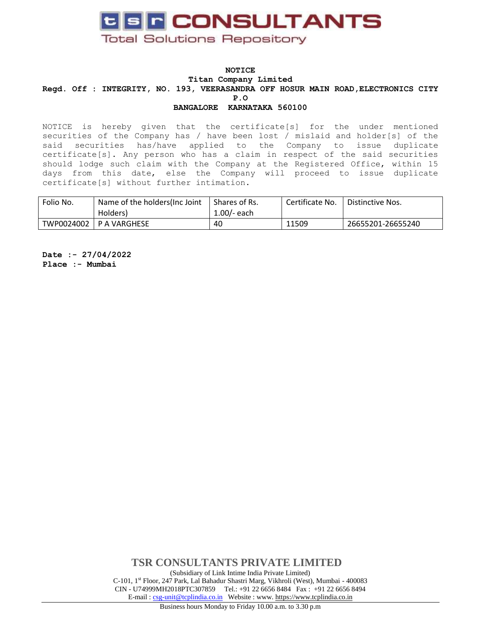

NOTICE is hereby given that the certificate[s] for the under mentioned securities of the Company has / have been lost / mislaid and holder[s] of the said securities has/have applied to the Company to issue duplicate certificate[s]. Any person who has a claim in respect of the said securities should lodge such claim with the Company at the Registered Office, within 15 days from this date, else the Company will proceed to issue duplicate certificate[s] without further intimation.

| Folio No.  | Name of the holders (Inc Joint<br>Holders) | Shares of Rs.<br>$1.00/-$ each | Certificate No. | Distinctive Nos.  |
|------------|--------------------------------------------|--------------------------------|-----------------|-------------------|
| TWP0024002 | P A VARGHESE                               | 40                             | 11509           | 26655201-26655240 |

**Date :- 27/04/2022 Place :- Mumbai**

> **TSR CONSULTANTS PRIVATE LIMITED** (Subsidiary of Link Intime India Private Limited) C-101, 1st Floor, 247 Park, Lal Bahadur Shastri Marg, Vikhroli (West), Mumbai - 400083 CIN - U74999MH2018PTC307859Tel.: +91 22 6656 8484 Fax : +91 22 6656 8494 E-mail [: csg-unit@tcplindia.co.in](mailto:csg-unit@tcplindia.co.in) Website : www. [https://www.tcplindia.co.in](http://www.tsrdarashaw.com/)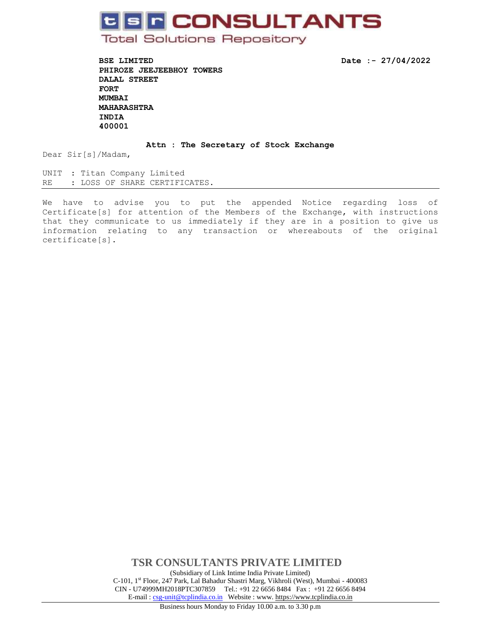# **C S F CONSULTANTS**

**Total Solutions Repository** 

**BSE LIMITED Date :- 27/04/2022 PHIROZE JEEJEEBHOY TOWERS DALAL STREET FORT MUMBAI MAHARASHTRA INDIA 400001** 

**Attn : The Secretary of Stock Exchange**

Dear Sir[s]/Madam,

UNIT : Titan Company Limited RE : LOSS OF SHARE CERTIFICATES.

We have to advise you to put the appended Notice regarding loss of Certificate[s] for attention of the Members of the Exchange, with instructions that they communicate to us immediately if they are in a position to give us information relating to any transaction or whereabouts of the original certificate[s].

> **TSR CONSULTANTS PRIVATE LIMITED** (Subsidiary of Link Intime India Private Limited) C-101, 1st Floor, 247 Park, Lal Bahadur Shastri Marg, Vikhroli (West), Mumbai - 400083 CIN - U74999MH2018PTC307859Tel.: +91 22 6656 8484 Fax : +91 22 6656 8494 E-mail [: csg-unit@tcplindia.co.in](mailto:csg-unit@tcplindia.co.in) Website : www. [https://www.tcplindia.co.in](http://www.tsrdarashaw.com/)